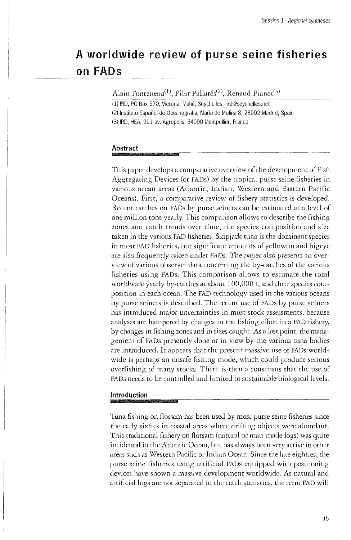# **A worldwide review of purse seine fisheries**  on **FADs**

Alain Fonteneau<sup>(1)</sup>, Pilar Pallarés<sup>(2)</sup>, Renaud Pianet<sup>(5)</sup>

(1) IRD, PO Box 570, Victoria, Mahé, Seychelles - [ird@seychelles.net](mailto:ird@seychelles.net) (2) Instituto Español de Oceanografía, Maria de Molina 8, 28002 Madrid, Spain (3) IRD, HEA, 91 1 av. Agropolis, 3409 0 Montpellier, France

#### **Abstract wmmmmmsmmmmiŒMMMMmM**

This paper develops a comparative overview of the development of Fish Aggregating Devices (or FADs) by the tropical purse seine fisheries in various ocean areas (Atlantic, Indian, Western and Eastern Pacific Oceans). First, a comparative review of fishery statistics is developed. Recent catches on FADs by purse seiners can be estimated at a level of one million tons yearly. This comparison allows to describe the fishing zones and catch trends over time, the species composition and size taken in the various FAD fisheries. Skipjack tuna is the dominant species in most FAD fisheries, but significant amounts of yellowfin and bigeye are also frequently taken under FADs. The paper also presents an overview of various observer data concerning the by-catches of the various fisheries using FADs. This comparison allows to estimate the total worldwide yearly by-catches at about 100,000 t, and their species composition in each ocean. The FAD technology used in the various oceans by purse seiners is described. The recent use of FADs by purse seiners has introduced major uncertainties in most stock assessments, because analyses are hampered by changes in the fishing effort in a FAD fishery, by changes in fishing zones and in sizes caught. As a last point, the management of FADs presently done or in view by the various tuna bodies are introduced. It appears that the present massive use of FADs worldwide is perhaps an unsafe fishing mode, which could produce serious overfishing of many stocks. There is then a consensus that the use of FADs needs to be controlled and limited to sustainable biological levels.

# **Introduction**

Tuna fishing on flotsam has been used by most purse seine fisheries since the early sixties in coastal areas where drifting objects were abundant. This traditional fishery on flotsam (natural or man-made logs) was quite incidental in the Atlantic Ocean, but has always been very active in other areas such as Western Pacific or Indian Ocean. Since the late eighties, the purse seine fisheries using artificial FADs equipped with positioning devices have shown a massive development worldwide. As natural and artificial logs are not separated in the catch statistics, the term FAD will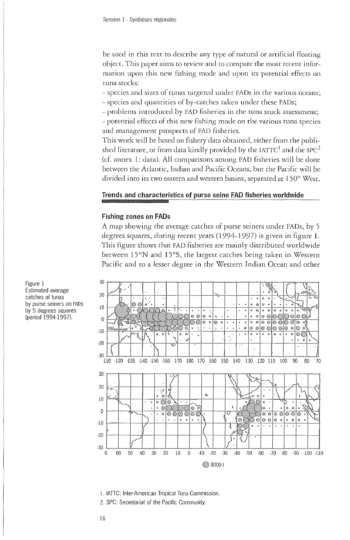be used in this text to describe any type of natural or artificial floating object. This paper aims to review and to compare the most recent information upon this new fishing mode and upon its potential effects on tuna stocks:

- species and sizes of tunas targeted under FADs in the various oceans;

- species and quantities of by-catches taken under these FADs;
- problems introduced by FAD fisheries in the tuna stock assessment;

- potential effects of this new fishing mode on the various tuna species and management prospects of FAD fisheries.

This work will be based on fishery data obtained, either from the published literature, or from data kindly provided by the IATTC $^{\rm l}$  and the SPC $^{\rm 2}$ (cf. annex 1: data). All comparisons among FAD fisheries will be done between the Atlantic, Indian and Pacific Oceans, but the Pacific will be divided into its two eastern and western basins, separated at 150° West.

### **Trends and characteristics of purse seine FAD fisheries worldwide**

#### **Fishing zones on FADs**

A map showing the average catches of purse seiners under FADs, by 5 degrees squares, during recent years (1994-1997) is given in figure 1. This figure shows that FAD fisheries are mainly distributed worldwide between 15°N and 15°S, the largest catches being taken in Western Pacific and to a lesser degree in the Western Indian Ocean and other



I . IATTC: Inter-American Tropical Tuna Commission.

2. SPC: Secretariat of the Pacific Community.

**Figure 1<sup>3</sup> <sup>0</sup> Estimated average catches of tunas by purse seiners on FADs by 5 degrees squares (period 1994-1997).<sup>0</sup>**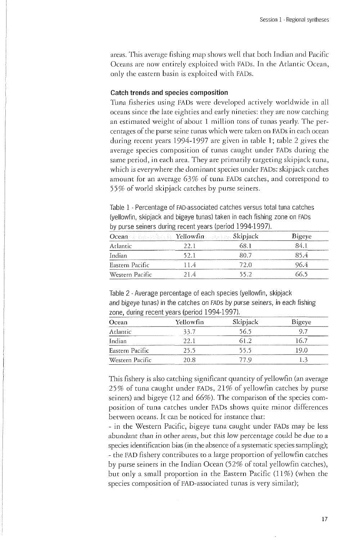areas. This average fishing map shows well that both Indian and Pacific Oceans are now entirely exploited with FADs. In the Atlantic Ocean, only the eastern basin is exploited with FADs.

# **Catch trends and species composition**

Tima fisheries using FADs were developed actively worldwide in all oceans since the late eighties and early nineties: they are now catching an estimated weight of about 1 million tons of tunas yearly. The percentages of the purse seine tunas which were taken on FADs in each ocean during recent years 1994-1997 are given in table 1; table 2 gives the average species composition of tunas caught under FADs during the same period, in each area. They are primarily targeting skipjack tuna, which is everywhere the dominant species under FADs: skipjack catches amount for an average 63% of tuna FADs catches, and correspond to 55% of world skipjack catches by purse seiners.

Table 1 - Percentage of FAD-associated catches versus total tuna catches (yellowfin, skipjack and bigeye tunas) taken in each fishing zone on FADs by purse seiners during recent years (period 1994-1997).

|                 | Ocean website in Yellowfin and the Skipjack |      | Bigeye |  |
|-----------------|---------------------------------------------|------|--------|--|
| Arlantic        |                                             | SS 1 | 84 I   |  |
| Indian          | 52.1                                        | 80 7 | 85.4   |  |
| Eastern Pacific | 114                                         | 72 O | 96.4   |  |
| Western Pacific | 214                                         | 55.2 | 66.5   |  |

Table 2 - Average percentage of each species (yellowfin, skipjack and bigeye tunas) in the catches on FADs by purse seiners, in each fishing zone, during recent years (period 1994-1997).

| Ocean           | Yellowfin | Skipjack | Bigeye |
|-----------------|-----------|----------|--------|
| Atlantic        | 33.7      | 56.5     |        |
| Indian          | 22 I      |          |        |
| Eastern Pacific | 25.5      | 55.5     |        |
| Western Pacific | 20 S      | 77 U     |        |

This fishery is also catching significant quantity of yellowfin (an average 25% of tuna caught under FADs, 21% of yellowfin catches by purse seiners) and bigeye (12 and 66%). The comparison of the species composition of tuna catches under FADs shows quite minor differences between oceans. It can be noticed for instance that:

- in the Western Pacific, bigeye tuna caught under FADs may be less abundant than in other areas, but this low percentage could be due to a species identification bias (in the absence of a systematic species sampling); - the FAD fishery contributes to a large proportion of yellowfin catches by purse seiners in the Indian Ocean (52% of total yellowfin catches), but only a small proportion in the Eastern Pacific (11%) (when the species composition of FAD-associated tunas is very similar);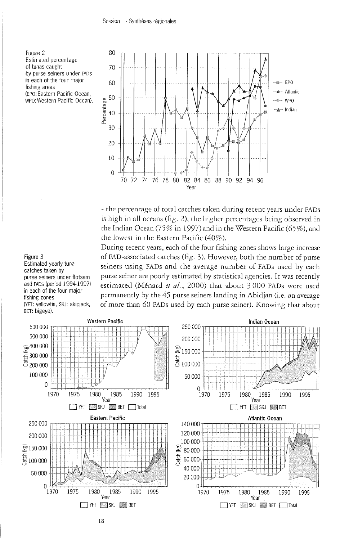Figure 2 Estimated percentage of tunas caught by purse seiners under FADs in each of the four major fishing areas (EPO: Eastern Pacific Ocean, fishing areas<br>
(EPO: Eastern Pacific Ocean).  $\begin{array}{cc} 60 & 50 \\ \text{WPO: Western Pacific Ocean.} & \begin{array}{c} 60 \\ \text{NS} \\ \text{Edd} \end{array} \\ \begin{array}{c} \text{WPO:} \\ \text{Weyl} \end{array} \end{array}$ 



- the percentage of total catches taken during recent years under FADs is high in all oceans (fig. 2), the higher percentages being observed in the Indian Ocean (75% in 1997) and in the Western Pacific (65%), and the lowest in the Eastern Pacific (40%).

During recent years, each of the four fishing zones shows large increase of FAD-associated catches (fig. 3). However, both the number of purse seiners using FADs and the average number of FADs used by each purse seiner are poorly estimated by statistical agencies. It was recently estimated (Ménard **et al.,** 2000) that about 3 000 FADs were used permanently by the 45 purse seiners landing in Abidjan (i.e. an average of more than 60 FADs used by each purse seiner). Knowing that about



# Figure 3 Estimated yearly tuna catches taken by

purse seiners under flotsam and FADs (period 1994-1997) in each of the four major fishing zones (YFT: yellowfin, SKJ: skipjack, BET: bigeye).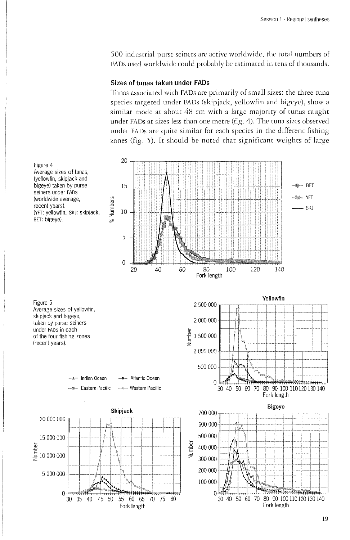500 industrial purse seiners are active worldwide, the total numbers of FADs used worldwide could probably be estimated in tens of thousands.

#### **Sizes of tunas taken under FADs**

Tunas associated with FADs are primarily of small sizes: the three tuna species targeted under FADs (skipjack, yellowfin and bigeye), show a similar mode at about 48 cm with a large majority of tunas caught under FADs at sizes less than one metre (fig. 4). The tuna sizes observed under FADs are quite similar for each species in the different fishing zones (fig. 5). It should be noted that significant weights of large

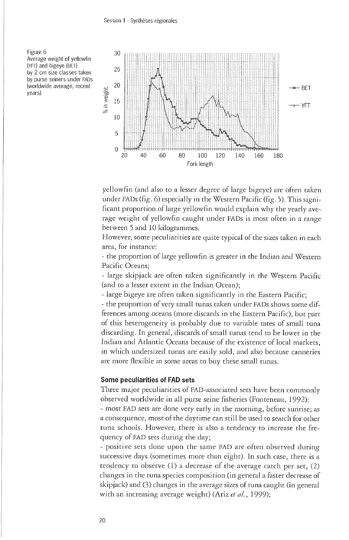Figure 6 Average weight of yellowfin (YFT) and bigeye (BET) by 2 cm size classes taken by purse seiners under FADs (worldwide average, recent years).



yellowfin (and also to a lesser degree of large bigeye) are often taken under FADs (fig. 6) especially in the Western Pacific (fig. 5). This significant proportion of large yellowfin would explain why the yearly average weight of yellowfin caught under FADs is most often in a range between 5 and 10 kilogrammes.

However, some peculiarities are quite typical of the sizes taken in each area, for instance:

- the proportion of large yellowfin is greater in the Indian and Western Pacific Oceans;

- large skipjack are often taken significantly in the Western Pacific (and to a lesser extent in the Indian Ocean);

- large bigeye are often taken significantly in the Eastern Pacific;

- the proportion of very small tunas taken under FADs shows some differences among oceans (more discards in the Eastern Pacific), but part of this heterogeneity is probably due to variable rates of small tuna discarding. In general, discards of small tunas tend to be lower in the Indian and Atlantic Oceans because of the existence of local markets, in which undersized tunas are easily sold, and also because canneries are more flexible in some areas to buy these small tunas.

#### **Some peculiarities of FAD sets**

Three major peculiarities of FAD-associated sets have been commonly observed worldwide in all purse seine fisheries (Fonteneau, 1992):

- most FAD sets are done very early in the morning, before sunrise; as a consequence, most of the daytime can still be used to search for other tuna schools. However, there is also a tendency to increase the frequency of FAD sets during the day;

- positive sets done upon the same FAD are often observed during successive days (sometimes more than eight). In such case, there is a tendency to observe (1) a decrease of the average catch per set, (2) changes in the tuna species composition (in general a faster decrease of skipjack) and (3) changes in the average sizes of tuna caught (in general with an increasing average weight) (Ariz **et al.,** 1999);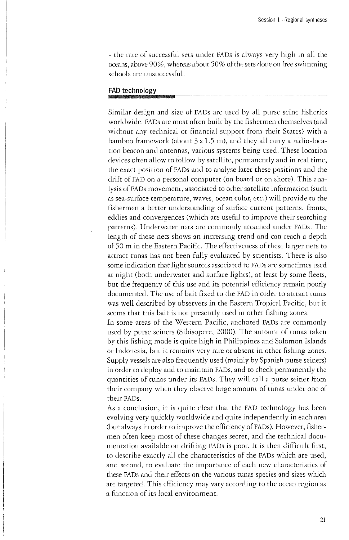- the rate of"successful sets under FADs is always very high in all the oceans, above 90%, whereas about 50% of the sets done on free swimming schools are unsuccessful.

# **FAD technology**

Similar design and size of FADs are used by all purse seine fisheries worldwide: FADs are most often built by the fishermen themselves (and without any technical or financial support from their States) with a bamboo framework (about  $3 \times 1.5$  m), and they all carry a radio-location beacon and antennas, various systems being used. These location devices often allow to follow by satellite, permanently and in real time, the exact position of FADs and to analyse later these positions and the drift of FAD on a personal computer (on board or on shore). This analysis of FADs movement, associated to other satellite information (such as sea-surface temperature, waves, ocean color, etc.) will provide to the fishermen a better understanding of surface current patterns, fronts, eddies and convergences (which are useful to improve their searching patterns). Underwater nets are commonly attached under FADs. The length of these nets shows an increasing trend and can reach a depth of 50 m in the Eastern Pacific. The effectiveness of these larger nets to attract tunas has not been fully evaluated by scientists. There is also some indication that light sources associated to FADs are sometimes used at night (both underwater and surface lights), at least by some fleets, but the frequency of this use and its potential efficiency remain poorly documented. The use of bait fixed to the FAD in order to attract tunas was well described by observers in the Eastern Tropical Pacific, but it seems that this bait is not presently used in other fishing zones.

In some areas of the Western Pacific, anchored FADs are commonly used by purse seiners (Sibisopere, 2000). The amount of tunas taken by this fishing mode is quite high in Philippines and Solomon Islands or Indonesia, but it remains very rare or absent in other fishing zones. Supply vessels are also frequently used (mainly by Spanish purse seiners) in order to deploy and to maintain FADs, and to check permanently the quantities of tunas under its FADs. They will call a purse seiner from their company when they observe large amount of tunas under one of their FADs.

As a conclusion, it is quite clear that the FAD technology has been evolving very quickly worldwide and quite independently in each area (but always in order to improve the efficiency of FADs). However, fishermen often keep most of these changes secret, and the technical documentation available on drifting FADs is poor. It is then difficult first, to describe exactly all the characteristics of the FADs which are used, and second, to evaluate the importance of each new characteristics of these FADs and their effects on the various tunas species and sizes which are targeted. This efficiency may vary according to the ocean region as a function of its local environment.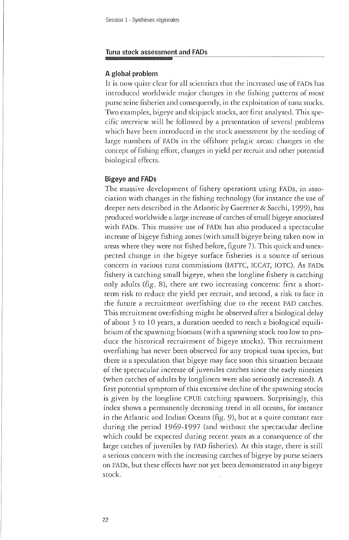#### **Tuna stock assessment and FADs**

### **A global problem**

It is now quite clear for all scientists that the increased use of FADs has introduced worldwide major changes in the fishing patterns of most purse seine fisheries and consequently, in the exploitation of tuna stocks. Two examples, bigeye and skipjack stocks, are first analysed. This specific overview will be followed by a presentation of several problems which have been introduced in the stock assessment by the seeding of large numbers of FADs in the offshore pelagic areas: changes in the concept of fishing effort, changes in yield per recruit and other potential biological effects.

#### **Bigeye and FADs**

The massive development of fishery operations using FADs, in association with changes in the fishing technology (for instance the use of deeper nets described in the Atlantic by Gaertner & Sacchi, 1999), has produced worldwide a large increase of catches of small bigeye associated with FADs. This massive use of FADs has also produced a spectacular increase of bigeye fishing zones (with small bigeye being taken now in areas where they were not fished before, figure 7). This quick and unexpected change in the bigeye surface fisheries is a source of serious concern in various tuna commissions (IATTC, ICCAT, IOTC). As FADs fishery is catching small bigeye, when the longline fishery is catching only adults (fig. 8), there are two increasing concerns: first a shortterm risk to reduce the yield per recruit, and second, a risk to face in the future a recruitment overfishing due to the recent FAD catches. This recruitment overfishing might be observed after a biological delay of about 3 to 10 years, a duration needed to reach a biological equilibrium of the spawning biomass (with a spawning stock too low to produce the historical recruitment of bigeye stocks). This recruitment overfishing has never been observed for any tropical tuna species, but there is a speculation that bigeye may face soon this situation because of the spectacular increase of juveniles catches since the early nineties (when catches of adults by longliners were also seriously increased). A first potential symptom of this excessive decline of the spawning stocks is given by the longline CPUE catching spawners. Surprisingly, this index shows a permanently decreasing trend in all oceans, for instance in the Atlantic and Indian Oceans (fig. 9), but at a quite constant rate during the period 1969-1997 (and without the spectacular decline which could be expected during recent years as a consequence of the large catches of juveniles by FAD fisheries). At this stage, there is still a serious concern with the increasing catches of bigeye by purse seiners on FADs, but these effects have not yet been demonstrated in any bigeye stock.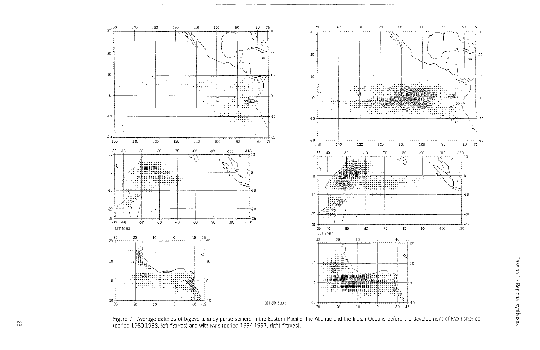

Figure 7 - Average catches of bigeye tuna by purse seiners in the Eastern Pacific, the Atlantic and the Indian Oceans before the development of FAD fisheries (period 1980-1988, left figures) and with FADs (period 1994-1997, right figures).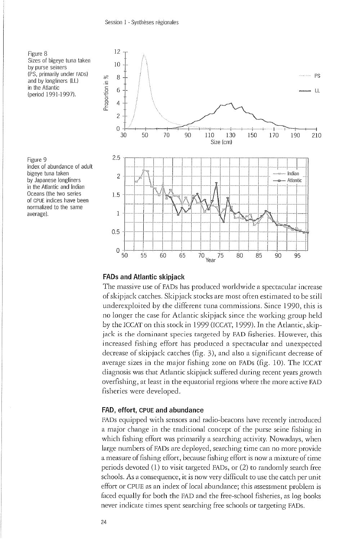

Figure 9 Index of abundance of adult bigeye tuna taken by Japanese longliners in the Atlantic and Indian Oceans (the two series of CPUE indices have been normalized to the same average).



#### **FADs and Atlantic skipjack**

The massive use of FADs has produced worldwide a spectacular increase of skipjack catches. Skipjack stocks are most often estimated to be still underexploited by the different tuna commissions. Since 1990, this is no longer the case for Atlantic skipjack since the working group held by the ICCAT on this stock in 1999 (ICCAT, 1999). In the Atlantic, skipjack is the dominant species targeted by FAD fisheries. However, this increased fishing effort has produced a spectacular and unexpected decrease of skipjack catches (fig. 3), and also a significant decrease of average sizes in the major fishing zone on FADs (fig. 10). The ICCAT diagnosis was that Atlantic skipjack suffered during recent years growth overfishing, at least in the equatorial regions where the more active FAD fisheries were developed.

### **FAD, effort, CPUE and abundance**

FADs equipped with sensors and radio-beacons have recently introduced a major change in the traditional concept of the purse seine fishing in which fishing effort was primarily a searching activity. Nowadays, when large numbers of FADs are deployed, searching time can no more provide a measure of fishing effort, because fishing effort is now a mixture of time periods devoted (1) to visit targeted FADs, or (2) to randomly search free schools. As a consequence, it is now very difficult to use the catch per uniteffort or CPUE as an index of local abundance; this assessment problem is faced equally for both the FAD and the free-school fisheries, as log books never indicate times spent searching free schools or targeting FADs.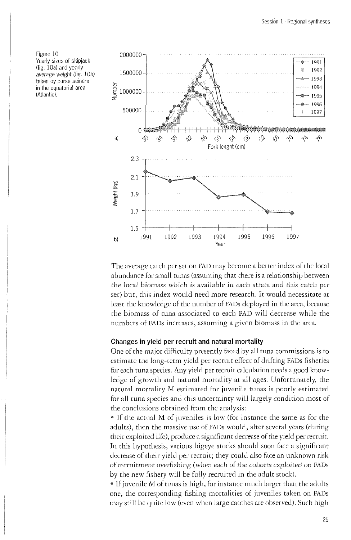Figure 10 Yearly sizes of skipjack (fig. 10a) and yearly average weight *(fig.* 10b) taken by purse seiners in the equatorial area (Atlantic).



The average catch per set on FAD may become a better index of the local abundance for small tunas (assuming that there is a relationship between the local biomass which is available in each strata and this catch per set) but, this index would need more research. It would necessitate at least the knowledge of the number of FADs deployed in the area, because the biomass of tuna associated to each FAD will decrease while the numbers of FADs increases, assuming a given biomass in the area.

#### **Changes in yield per recruit and natural mortality**

One of the major difficulty presently faced by all tuna commissions is to estimate the long-term yield per recruit effect of drifting FADs fisheries for each tuna species. Any yield per recruit calculation needs a good knowledge of growth and natural mortality at all ages. Unfortunately, the natural mortality M estimated for juvenile tunas is poorly estimated for all tuna species and this uncertainty will largely condition most of the conclusions obtained from the analysis:

• If the actual M of juveniles is low (for instance the same as for the adults), then the massive use of FADs would, after several years (during their exploited life), produce a significant decrease of the yield per recruit. In this hypothesis, various bigeye stocks should soon face a significant decrease of their yield per recruit; they could also face an unknown risk of recruitment overfishing (when each of the cohorts exploited on FADs by the new fishery will be fully recruited in the adult stock).

• If juvenile M of tunas is high, for instance much larger than the adults one, the corresponding fishing mortalities of juveniles taken on FADs may still be quite low (even when large catches are observed). Such high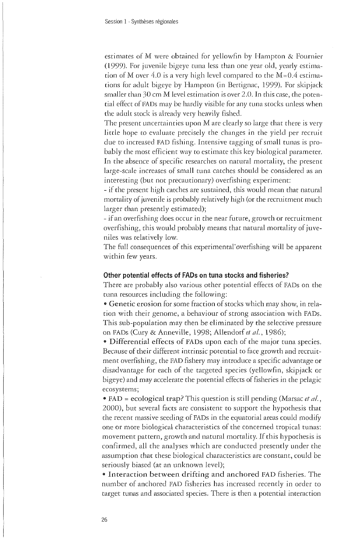estimates of M were obtained for yellowfin by Hampton & Fournier (1999). For juvenile bigeye tuna less than one year old, yearly estimation of M over 4.0 is a very high level compared to the  $M=0.4$  estimations for adult bigeye by Hampton (in Bertignac, 1999). For skipjack smaller than 30 cm M level estimation is over 2.0. In this case, the potential effect of FADs may be hardly visible for any tuna stocks unless when the adult stock is already very heavily fished.

The present uncertainties upon M are clearly so large that there is very little hope to evaluate precisely the changes in the yield per recruit due to increased FAD fishing. Intensive tagging of small tunas is probably the most efficient way to estimate this key biological parameter. In the absence of specific researches on natural mortality, the present large-scale increases of small tuna catches should be considered as an interesting (but not precautionary) overfishing experiment:

- if the present high catches are sustained, this would mean that natural mortality of juvenile is probably relatively high (or the recruitment much larger than presently estimated);

- if an overfishing does occur in the near future, growth or recruitment overfishing, this would probably means that natural mortality of juveniles was relatively low.

The full consequences of this experimental'overfishing will be apparent within few years.

#### **Other potential effects of FADs on tuna stocks and fisheries?**

There are probably also various other potential effects of FADs on the tuna resources including the following:

 $\bullet$  Genetic erosion for some fraction of stocks which may show, in relation with their genome, a behaviour of strong association with FADs. This sub-population may then be eliminated by the selective pressure on FADs (Cury & Anneville, 1998; Allendorf *et al.,* 1986);

· Differential effects of FADs upon each of the major tuna species. Because of their different intrinsic potential to face growth and recruitment overfishing, the FAD fishery may introduce a specific advantage or disadvantage for each of the targeted species (yellowfin, skipjack or bigeye) and may accelerate the potential effects of fisheries in the pelagic ecosystems;

• FAD = ecological trap? This question is still pending (Marsac et al., 2000), but several facts are consistent to support the hypothesis that the recent massive seeding of FADs in the equatorial areas could modify one or more biological characteristics of the concerned tropical tunas: movement pattern, growth and natural mortality. If this hypothesis is confirmed, all the analyses which are conducted presently under the assumption that these biological characteristics are constant, could be seriously biased (at an unknown level);

• Interaction between drifting and anchored FAD fisheries. The number of anchored FAD fisheries has increased recently in order to target tunas and associated species. There is then a potential interaction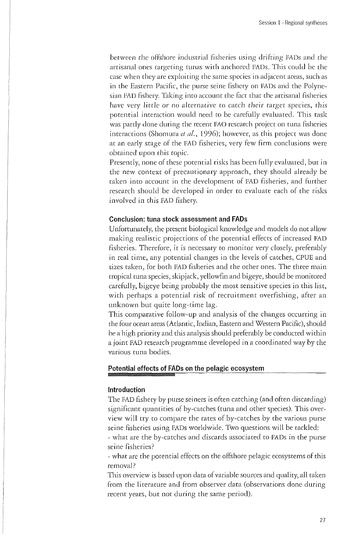between the offshore industrial fisheries using drifting FADs and the artisanal ones targeting tunas with anchored FADs. This could be the case when they are exploiting the same species in adjacent areas, such as in the Eastern Pacific, the purse seine fishery on FADs and the Polynesian FAD fishery. Taking into account the fact that the artisanal fisheries have very little or no alternative to catch their target species, this potential interaction would need to be carefully evaluated. This task was partly done during the recent FAO research project on tuna fisheries interactions (Shomura et al., 1996); however, as this project was done at an early stage of the FAD fisheries, very few firm conclusions were obtained upon this topic.

Presently, none of these potential risks has been fully evaluated, but in the new context of precautionary approach, they should already be taken into account in the development of FAD fisheries, and further research should be developed in order to evaluate each of the risks involved in this FAD fishery.

# **Conclusion: tuna stock assessment and FADs**

Unfortunately, the present biological knowledge and models do not allow making realistic projections of the potential effects of increased FAD fisheries. Therefore, it is necessary to monitor very closely, preferably in real time, any potential changes in the levels of catches, CPUE and sizes taken, for both FAD fisheries and the other ones. The three main tropical tuna species, skipjack, yellowfin and bigeye, should be monitored carefully, bigeye being probably the most sensitive species in this list, with perhaps a potential risk of recruitment overfishing, after an unknown but quite long-time lag.

This comparative follow-up and analysis of the changes occurring in the four ocean areas (Atlantic, Indian, Eastern and Western Pacific), should be a high priority and this analysis should preferably be conducted within a joint FAD research programme developed in a coordinated way by the various tuna bodies.

# **Potential effects of FADs on the pelagic ecosystem**

**Introduction**<br>The FAD fishery by purse seiners is often catching (and often discarding) significant quantities of by-catches (tuna and other species). This overview will try to compare the rates of by-catches by the various purse seine fisheries using FADs worldwide. Two questions will be tackled: seine fisheries using FADs worldwide. Two questions will be tackled:

- what are the by-catches and discusses associated to FADs in the purse seine fisheries?

- what are the potential effects on the offshore pelagic ecosystems of this removal?

This overview is based upon elata of variable sources and quality, all taken from the literature and from observer data (observations done during recent years, but not during the same period).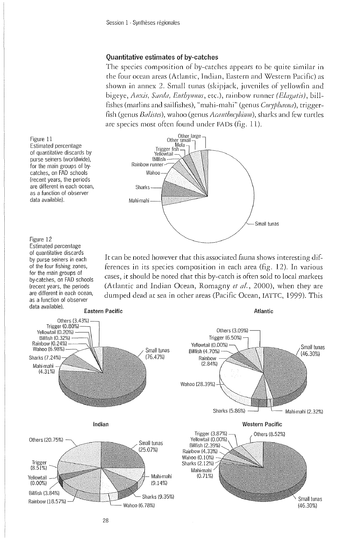#### **Quantitative estimates of by-catches**

The species composition of by-catches appears to be quite similar in the four ocean areas (Atlantic, Indian, Eastern and Western Pacific) as shown in annex 2. Small tunas (skipjack, juveniles of yellowfin and bigeye, *Auxis, Sarda, Euthynnus*, etc.), rainbow runner *(Elagatis)*, billfishes (marlins and sailfishes), "mahi-mahi" (genus *Coryphaena),* triggerfish (genus *Balistes),* wahoo (genus *Acanthocybium),* sharks and few turtles are species most often found under FADs (fig. 11).



Figure 11

Estimated percentage of quantitative discards by purse seiners (worldwide), for the main groups of bycatches, on FAD schools (recent years, the periods are different in each ocean, as a function of observer data available).

### Figure 12 Estimated percentage

of quantitative discards by purse seiners in each of the four fishing zones, for the main groups of by-catches, on FAD schools (recent years, the periods are different in each ocean, as a function of observer data available).

It can be noted however that this associated fauna shows interesting differences in its species composition in each area (fig. 12). In various cases, it should be noted that this by-catch is often sold to local markets (Atlantic and Indian Ocean, Romagny *et al.*, 2000), when they are dumped dead at sea in other areas (Pacific Ocean, IATTC, 1999). This

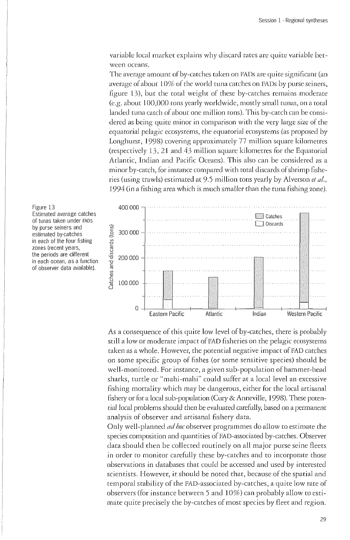variable local marker explains why discard races are quite variable between oceans.

The average amount of by-catches taken on FADs are quite significant (an average of about 10% of the world tuna catches on FADs by purse seiners, figure 13), but the total weight of these by-catches remains moderate (e.g. about 100,000 tons yearly worldwide, mostly small tunas, on a total landed tuna catch of about one million tons). This by-catch can be considered as being quite minor in comparison with the very large size of the equatorial pelagic *ecosystems,* the equatorial ecosystems (as proposed by Longhurst, 1998) covering approximately 77 million square kilometres (respectively 13, 21 and 43 million square kilometres for the Equatorial Atlantic, Indian and Pacific Oceans). This also can be considered as a minor by-catch, for instance compared with total discards of shrimp fisheries (using trawls) estimated at 9.5 million tons yearly by Alverson *eta/.,*  1994 (in a fishing area which is much smaller than the tuna fishing zone).





As a consequence of this quite low level of by-catches, there is probably still a low or moderate impact of FAD fisheries on the pelagic ecosystems taken as a whole. However, the potential negative impact of FAD catches on some specific group of fishes (or some sensitive species) should be well-monitored. For instance, a given sub-population of hammer-head sharks, turtle or "mahi-mahi" could suffer at a local level an excessive fishing mortality which may be dangerous, either for the local artisanal fishery or for a local sub-population (Cury & Anneville, 1998). These potential local problems should then be evaluated carefully, based on a permanent analysis of observer and artisanal fishery data.

Only well-planned *ad hoc* observer programmes do allow to estimate the species composition and quantities of FAD-associated by-catches. Observer data should then be collected routinely on all major purse seine fleets in order to monitor carefully these by-catches and to incorporate those observations in databases that could be accessed and used by interested scientists. However, it should be noted that, because of the spatial and temporal stability of the FAD-associatecl by-catches, a quite low rate of observers (for instance between 5 and 10%) can probably allow to estimate quite precisely the by-catches of most species by fleet and region.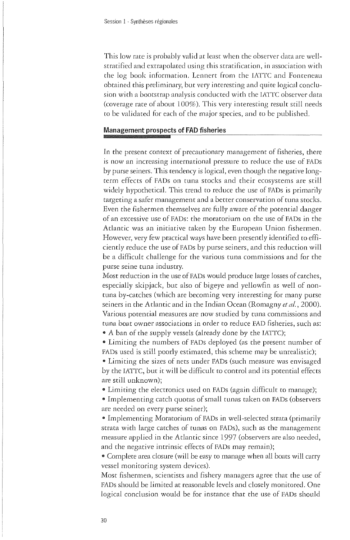This low race is probably valid at least when the observer data are wellstratifiecl and extrapolated using this stratification, in association with the log book information. Lennert from the IATTC and Fonteneau obtained this preliminary, but very interesting and quite logical conclusion with a bootstrap analysis conducted with the IATTC observer data (coverage rate of about 100%). This very interesting result still needs to be validated for each of the major species, and to be published.

#### **Management prospects of FAD fisheries**

In the present context of precautionary management of fisheries, there is now an increasing international pressure to reduce the use of FADs by purse seiners. This tendency is logical, even though the negative longterm effects of FADs on tuna stocks and their ecosystems are still widely hypothetical. This trend to reduce the use of FADs is primarily targeting a safer management and a better conservation of tuna stocks. Even the fishermen themselves are fully aware of the potential danger of an excessive use of FADs: the moratorium on the use of FADs in the Atlantic was an initiative taken by the European Union fishermen. However, very few practical ways have been presently identified to efficiently reduce the use of FADs by purse seiners, and this reduction will be a difficult challenge for the various tuna commissions and for the purse seine tuna industry.

Most reduction in the use of FADs would produce large losses of catches, especially skipjack, but also of bigeye and yellowfin as well of nontuna by-catches (which are becoming very interesting for many purse seiners in the Atlantic and in the Indian Ocean (Romagny et al., 2000). Various potential measures are now studied by tuna commissions and tuna boat owner associations in order to reduce FAD fisheries, such as:

• A ban of the supply vessels (already done by the IATTC);

8 Limiting the numbers of FADs deployed (as the present number of FADs used is still poorly estimated, this scheme may be unrealistic);

8 Limiting the sizes of nets under FADs (such measure was envisaged by the IATTC, but it will be difficult to control and its potential effects are still unknown);

8 Limiting the electronics used on FADs (again difficult to manage);

8 Implementing catch quotas of small tunas taken on FADs (observers are needed on every purse seiner);

9 Implementing Moratorium of FADs in well-selected strata (primarily strata with large catches of tunas on FADs), such as the management measure applied in the Atlantic since 1997 (observers are also needed, and the negative intrinsic effects of FADs may remain);

• Complete area closure (will be easy to manage when all boats will carry vessel monitoring system devices).

Most fishermen, scientists and fishery managers agree that the use of FADs should be limited at reasonable levels and closely monitored. One logical conclusion would be for instance that the use of FADs should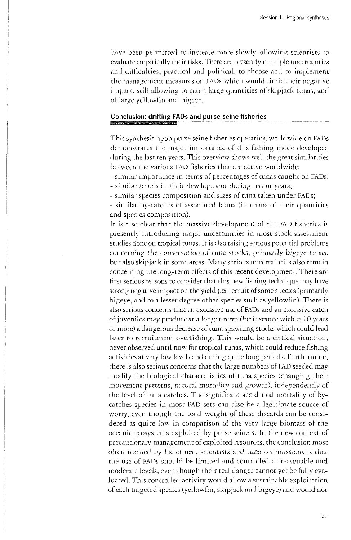have been permitted to increase more slowly, allowing scientists to evaluate empirically their risks. There are presently multiple uncertainties and difficulties, practical and political, to choose and to implement the management measures on FADs which would limit their negative impact, still allowing to catch large quantities of skipjack tunas, and of large yellowfin and bigeye.

# **Conclusion: drifting FADs and purse seine fisheries**

This synthesis upon purse seine fisheries operating worldwide on FADs demonstrates the major importance of this fishing mode developed during the last ten years. This overview shows well the great similarities between the various FAD fisheries that are active worldwide:

- similar importance in terms of percentages of tunas caught on FADs; - similar trends in their development during recent years;

- similar species composition and sizes of tuna taken under FADs;

- similar by-catches of associated fauna (in terms of their quantities and species composition).

It is also clear that the massive development of the FAD fisheries is presently introducing major uncertainties in most stock assessment studies done on tropical tunas. It is also raising serious potential problems concerning the conservation of tuna stocks, primarily bigeye tunas, but also skipjack in some areas. Many serious uncertainties also remain concerning the long-term effects of this recent development. There are first serious reasons to consider that this new fishing technique may have strong negative impact on the yield per recruit of some species (primarily bigeye, and to a lesser degree other species such as yellowfin). There is also serious concerns that an excessive use of FADs and an excessive catch of juveniles may produce at a longer term (for instance within 10 years or more) a dangerous decrease of tuna spawning stocks which could lead later to recruitment overfishing. This would be a critical situation, never observed until now for tropical tunas, which could reduce fishing activities at very low levels and during quite long periods. Furthermore, there is also serious concerns that the large numbers of FAD seeded may modify the biological characteristics of tuna species (changing their movement patterns, natural mortality and growth), independently of the level of tuna catches. The significant accidental mortality of bycatches species in most FAD sets can also be a legitimate source of worry, even though the total weight of these discards can be considered as quite low in comparison of the very large biomass of the oceanic ecosystems exploited by purse seiners. In the new context of precautionary management of exploited resources, the conclusion most often reached by fishermen, scientists and tuna commissions is that the use of FADs should be limited and controlled at reasonable and moderate levels, even though their real danger cannot yet be fully evaluated. This controlled activity would allow a sustainable exploitation of each targeted species (yellowfin, skipjack and bigeye) and would not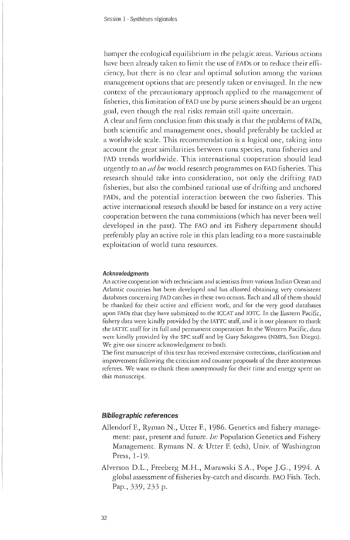hamper the ecological equilibrium in the pelagic areas. Various actions have been already taken to limit the use of FADs or to reduce their efficiency, but there is no clear and optimal solution among the various management options that are presently taken or envisaged. In the new context of the precautionary approach applied to the management of fisheries, this limitation of FAD use by purse seiners should be an urgent goal, even though the real risks remain still quite uncertain.

A clear and firm conclusion from this study is that the problems of FADs, both scientific and management ones, should preferably be tackled at a worldwide scale. This recommendation is a logical one, taking into account the great similarities between tuna species, tuna fisheries and FAD trends worldwide. This international cooperation should lead urgently to an *ad hoc* world research programmes on FAD fisheries. This research should take into consideration, not only the drifting FAD fisheries, but also the combined rational use of drifting and anchored FADs, and the potential interaction between the two fisheries. This active international research should be based for instance on a very active cooperation between the tuna commissions (which has never been well developed in the past). The FAO and its Fishery department should preferably play an active role in this plan leading to a more sustainable exploitation of world tuna resources.

#### Acknowledgments

An active cooperation with technicians and scientists from various Indian Ocean and Atlantic countries has been developed and has allowed obtaining very consistent databases concerning FAD catches in these two oceans. Each and all of them should be thanked for their active and efficient work, and for the very good databases upon FADs that they have submitted to the ICCAT and IOTC. In the Eastern Pacific, fishery data were kindly provided by the IATTC staff, and it is our pleasure to thank the IATTC staff for its full and permanent cooperation. In the Western Pacific, data were kindly provided by the SPC staff and by Gary Sakagawa (NMFS, San Diego). We give our sincere acknowledgment to both.

The first manuscript of this text has received extensive corrections, clarification and improvement following the criticism and counter proposals of the three anonymous referees. We want to thank them anonymously for their time and energy spent on this manuscript.

#### **Bibliographic references**

- Allendorf F., Ryman N., Utter F., 1986. Genetics and fishery management: past, present and future. *In:* Population Genetics and Fishery Management. Rymans N. & Utter F. (eds), Univ. of Washington Press, 1-19.
- Alverson D.L., Freeberg M.H. , Murawski S.A., Pope J.G., 1994. A global assessment of fisheries by-catch and discards. FAO Fish. Tech. Pap., 339, 233 p.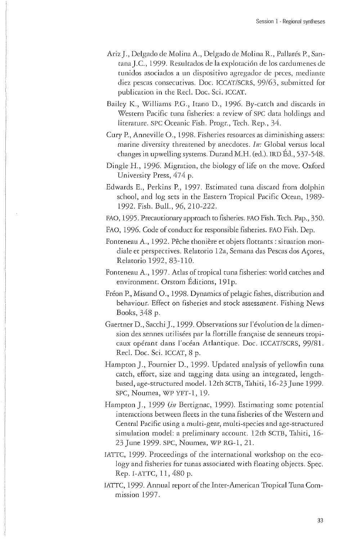- Ariz J., Delgado de Molina A., Delgado de Molina R., Pallarés P., Santana J.C., 1999. Resultados de la explotacion de Ios cardumenes de tunidos asociados a un dispositivo agregador de peces, mediante diez pescas consecutivas. Doc. ICCAT/SCRS, 99/63, submitted for publication in the Reel. Doc. Sci. ICCAT.
- Bailey K., Williams P.G., Itano D., 1996. By-catch and discards in Western Pacific tuna fisheries: a review of SPC data holdings and literature. SPC Oceanic Fish. Progr., Tech. Rep., 34.
- Cury P., Anneville O., 1998. Fisheries resources as diminishing assets: marine diversity threatened by anecdotes. *In:* Global versus local changes in upwelling systems. Durand M.H. (ed.). IRD Éd., 537-548.
- Dingle H., 1996. Migration, the biology of life on the move. Oxford University Press, 474 p.
- Edwards E., Perkins P., 1997. Estimated tuna discard from dolphin school, and log sets in the Eastern Tropical Pacific Ocean, 1989- 1992. Fish. Bull., 96, 210-222.
- EAO, 1995. Precautionary approach to fisheries. FAO Fish. Tech. Pap., 350.
- FAO, 1996. Code of conduct for responsible fisheries. FAO Fish. Dep.
- Fonteneau A., 1992. Pêche thonière et objets flottants : situation mondiale et perspectives. Relatorio 12a, Semana das Pescas dos Açores, Relatorio 1992, 83-110.
- Fonteneau A., 1997. Atlas of tropical tuna fisheries: world catches and environment. Orstom Editions, 191p.
- Fréon P., Misund O., 1998. Dynamics of pelagic fishes, distribution and behaviour. Effect on fisheries and stock assessment. Fishing News Books, 348 p.
- Gaertner D., Sacchi J., 1999. Observations sur l'évolution de la dimension des sennes utilisées par la flottille française de senneurs tropicaux opérant dans l'océan Atlantique. Doc. ICCAT/SCRS, 99/81. Reel. Doc. Sci. ICCAT, 8 p.
- Hampton J., Fournier D., 1999. Updated analysis of yellowfin tuna catch, effort, size and tagging data using an integrated, lengthbased, age-structurecl model. 12th SCTB, Tahiti, 16-23 June 1999- SPC, Noumea, WP YFT-1, 19.
- Hampton J., 1999 (in Bertignac, 1999). Estimating some potential interactions between fleets in the tuna fisheries of the Western and Central Pacific using a multi-gear, multi-species and age-structured simulation model: a preliminary account. 12th SCTB, Tahiti, 16- 23 June 1999. SPC, Noumea, WP RG-1, 21.
- IATTC, 1999. Proceedings of the international workshop on the ecology and fisheries for tunas associated with floating objects. Spec. Rep. I-ATTC, 11, 480 p.
- IATTC, 1999. Annual report of the Inter-American Tropical Tuna Commission 1997.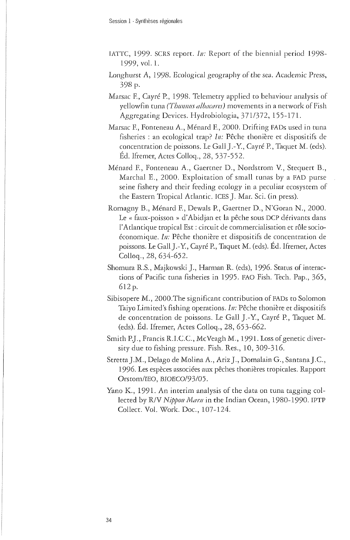- IATTC, 1999- SCRS report. *In:* Report of the biennial period 1998- 1999, vol. 1.
- Longhurst A, 1998. Ecological geography of the sea. Academic Press, 398 p.
- Marsac E, Cayré R, 1998. Telemetry applied to behaviour analysis of yellowfin tuna *(Thunnus albacares)* movements in a network of Fish Aggregating Devices. Hydrobiologia, 371/372, 155-171.
- Marsac F., Fonteneau A., Ménard F., 2000. Drifting FADs used in tuna fisheries : an ecological trap? *In:* Pêche thonière et dispositifs de concentration de poissons. Le Gall J.-Y., Cayré P., Taquet M. (ecls). Éd. Ifremer, Actes Colloq., 28, 537-552.
- Ménard F., Fonteneau A., Gaertner D., Nordstrom V., Stequert B., Marchai E., 2000. Exploitation of small tunas by a FAD purse seine fishery and their feeding ecology in a peculiar ecosystem of the Eastern Tropical Atlantic. ICES J. Mar. Sci. (in press).
- Romagny B., Ménard F., Dewals P., Gaertner D., N'Goran N., 2000. Le « faux-poisson » d'Abidjan et la pêche sous DCP dérivants dans l'Atlantique tropical Est : circuit de commercialisation et rôle socioéconomique. *In:* Pêche thonière et dispositifs de concentration de poissons. Le Gall J.-Y., Cayré P., Taquet M. (eds). Éd. Ifremer, Actes Colloq., 28, 634-652.
- Shomura R.S., Majkowski J., Harman R. (eds), 1996. Status of interactions of Pacific tuna fisheries in 1995. FAO Fish. Tech. Pap., 365, 612 p.
- Sibisopere M., 2000.The significant contribution of FADs to Solomon Taiyo Limited's fishing operations. *In:* Pêche thonière et dispositifs de concentration de poissons. Le Gall J.-Y., Cayré P., Taquet M. (ecls). Éd. Ifremer, Actes Colloq., 28, 653-662.
- Smith P.J., Francis R.I.C.C., McVeagh M., 1991. Loss of genetic diversity due to fishing pressure. Fish. Res., 10, 309-316.
- Stretta J.M., Delago de Molina A., Ariz J., Domalain G., Santana J.C., 1996. Les espèces associées aux pêches thonières tropicales. Rapport Orstom/IEO, BIOECO/93/05.
- Yano K., 1991. An interim analysis of the data on tuna tagging collected by R/V *Nippon Maru* in the Indian Ocean, 1980-1990. IPTP Collect. Vol. Work. Doc., 107-124.